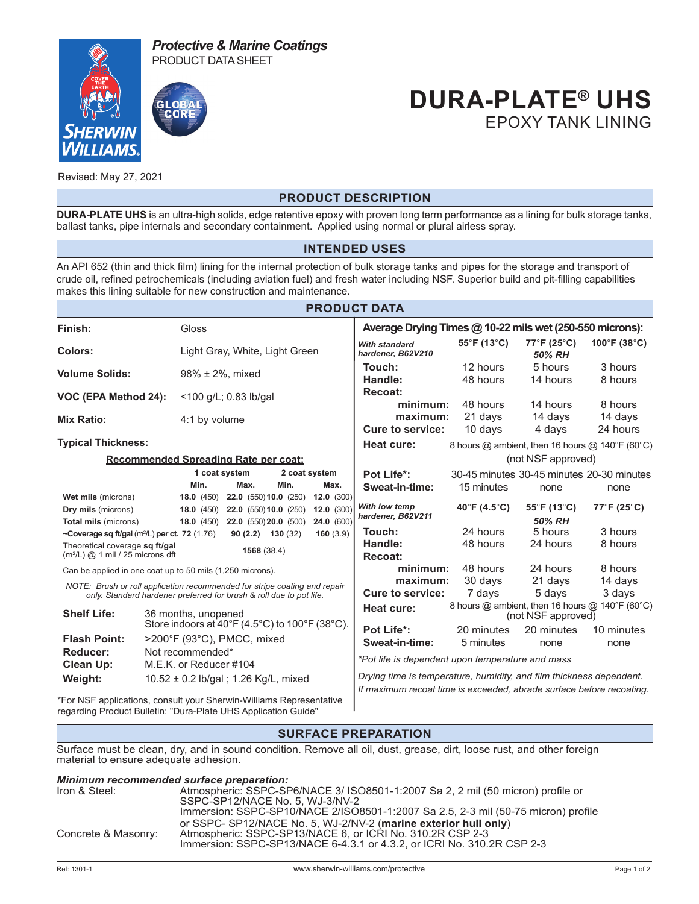



## **DURA-PLATE® UHS** EPOXY TANK LINING

Revised: May 27, 2021

#### **PRODUCT DESCRIPTION**

**DURA-PLATE UHS** is an ultra-high solids, edge retentive epoxy with proven long term performance as a lining for bulk storage tanks, ballast tanks, pipe internals and secondary containment. Applied using normal or plural airless spray.

#### **INTENDED USES**

An API 652 (thin and thick film) lining for the internal protection of bulk storage tanks and pipes for the storage and transport of crude oil, refined petrochemicals (including aviation fuel) and fresh water including NSF. Superior build and pit-filling capabilities makes this lining suitable for new construction and maintenance.

| <b>PRODUCT DATA</b>                                                                                                                                                |                                                                    |                        |                       |                                                            |                        |                                                                                                                                                                                                 |                         |                                                   |                                                     |  |
|--------------------------------------------------------------------------------------------------------------------------------------------------------------------|--------------------------------------------------------------------|------------------------|-----------------------|------------------------------------------------------------|------------------------|-------------------------------------------------------------------------------------------------------------------------------------------------------------------------------------------------|-------------------------|---------------------------------------------------|-----------------------------------------------------|--|
| Finish:                                                                                                                                                            |                                                                    | Gloss                  |                       |                                                            |                        | Average Drying Times @ 10-22 mils wet (250-550 microns):                                                                                                                                        |                         |                                                   |                                                     |  |
| <b>Colors:</b>                                                                                                                                                     |                                                                    |                        |                       | Light Gray, White, Light Green                             |                        | <b>With standard</b><br>hardener, B62V210                                                                                                                                                       | 55°F (13°C)             | 77°F (25°C)<br>50% RH                             | $100^{\circ}$ F (38 $^{\circ}$ C)                   |  |
| <b>Volume Solids:</b>                                                                                                                                              |                                                                    | $98\% \pm 2\%$ , mixed |                       |                                                            |                        | Touch:<br>Handle:                                                                                                                                                                               | 12 hours<br>48 hours    | 5 hours<br>14 hours                               | 3 hours<br>8 hours                                  |  |
| VOC (EPA Method 24):                                                                                                                                               |                                                                    | <100 g/L; 0.83 lb/gal  |                       |                                                            |                        | Recoat:<br>minimum:                                                                                                                                                                             | 48 hours                | 14 hours                                          | 8 hours                                             |  |
| <b>Mix Ratio:</b>                                                                                                                                                  |                                                                    | 4:1 by volume          |                       |                                                            |                        | maximum:<br><b>Cure to service:</b>                                                                                                                                                             | 21 days<br>10 days      | 14 days<br>4 days                                 | 14 days<br>24 hours                                 |  |
| <b>Typical Thickness:</b>                                                                                                                                          |                                                                    |                        |                       |                                                            |                        | Heat cure:                                                                                                                                                                                      |                         |                                                   | 8 hours $@$ ambient, then 16 hours $@$ 140°F (60°C) |  |
|                                                                                                                                                                    |                                                                    |                        |                       | <b>Recommended Spreading Rate per coat:</b>                |                        | (not NSF approved)                                                                                                                                                                              |                         |                                                   |                                                     |  |
|                                                                                                                                                                    |                                                                    | Min.                   | 1 coat system<br>Max. | Min.                                                       | 2 coat system<br>Max.  | Pot Life*:<br>Sweat-in-time:                                                                                                                                                                    | 15 minutes              | 30-45 minutes 30-45 minutes 20-30 minutes<br>none | none                                                |  |
| Wet mils (microns)<br>Dry mils (microns)                                                                                                                           |                                                                    | 18.0(450)<br>18.0(450) |                       | 22.0 (550) 10.0 (250)<br>22.0 (550) 10.0 (250)             | 12.0(300)<br>12.0(300) | With low temp<br>hardener, B62V211                                                                                                                                                              | 40°F (4.5°C)            | $55^{\circ}$ F (13 $^{\circ}$ C)<br>50% RH        | $77^{\circ}$ F (25 $^{\circ}$ C)                    |  |
| Total mils (microns)<br>~Coverage sq ft/gal (m <sup>2</sup> /L) per ct. 72 (1.76)<br>Theoretical coverage sq ft/gal<br>$(m2/L)$ @ 1 mil / 25 microns dft           |                                                                    | 18.0(450)              |                       | 22.0 (550) 20.0 (500)<br>$90(2.2)$ 130 (32)<br>1568 (38.4) | 24.0 (600)<br>160(3.9) | Touch:<br>Handle:                                                                                                                                                                               | 24 hours<br>48 hours    | 5 hours<br>24 hours                               | 3 hours<br>8 hours                                  |  |
| Can be applied in one coat up to 50 mils (1,250 microns).<br>NOTE: Brush or roll application recommended for stripe coating and repair                             |                                                                    |                        |                       |                                                            |                        | Recoat:<br>minimum:<br>maximum:                                                                                                                                                                 | 48 hours<br>30 days     | 24 hours<br>21 days                               | 8 hours<br>14 days                                  |  |
| only. Standard hardener preferred for brush & roll due to pot life.<br><b>Shelf Life:</b><br>36 months, unopened<br>Store indoors at 40°F (4.5°C) to 100°F (38°C). |                                                                    |                        |                       |                                                            |                        | <b>Cure to service:</b><br>3 days<br>7 days<br>5 days<br>8 hours @ ambient, then 16 hours @ 140°F (60°C)<br>Heat cure:<br>(not NSF approved)                                                    |                         |                                                   |                                                     |  |
| <b>Flash Point:</b><br>Reducer:                                                                                                                                    | >200°F (93°C), PMCC, mixed<br>Not recommended*                     |                        |                       |                                                            |                        | Pot Life*:<br>Sweat-in-time:                                                                                                                                                                    | 20 minutes<br>5 minutes | 20 minutes<br>none                                | 10 minutes<br>none                                  |  |
| <b>Clean Up:</b><br>Weight:                                                                                                                                        | M.E.K. or Reducer #104<br>10.52 $\pm$ 0.2 lb/gal; 1.26 Kg/L, mixed |                        |                       |                                                            |                        | *Pot life is dependent upon temperature and mass<br>Drying time is temperature, humidity, and film thickness dependent.<br>If maximum recoat time is exceeded, abrade surface before recoating. |                         |                                                   |                                                     |  |

\*For NSF applications, consult your Sherwin-Williams Representative regarding Product Bulletin: "Dura-Plate UHS Application Guide"

### **SURFACE PREPARATION**

Surface must be clean, dry, and in sound condition. Remove all oil, dust, grease, dirt, loose rust, and other foreign material to ensure adequate adhesion.

#### *Minimum recommended surface preparation:* Atmospheric: SSPC-SP6/NACE 3/ ISO8501-1:2007 Sa 2, 2 mil (50 micron) profile or SSPC-SP12/NACE No. 5, WJ-3/NV-2 Immersion: SSPC-SP10/NACE 2/ISO8501-1:2007 Sa 2.5, 2-3 mil (50-75 micron) profile or SSPC- SP12/NACE No. 5, WJ-2/NV-2 (**marine exterior hull only**) Concrete & Masonry: Atmospheric: SSPC-SP13/NACE 6, or ICRI No. 310.2R CSP 2-3 Immersion: SSPC-SP13/NACE 6-4.3.1 or 4.3.2, or ICRI No. 310.2R CSP 2-3